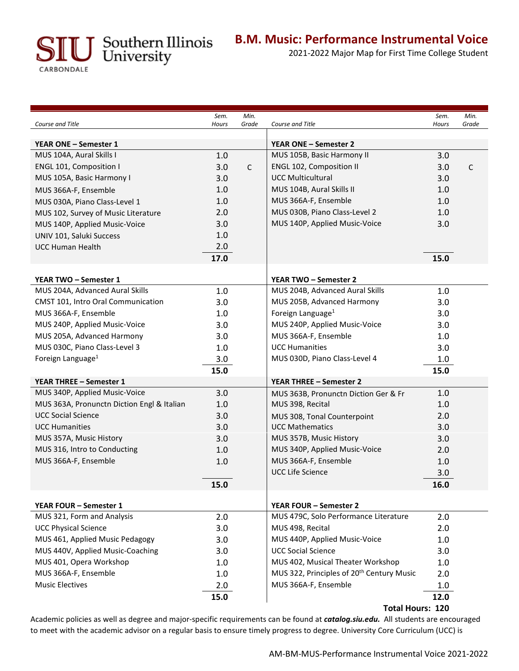U Southern Illinois<br>University

CARBONDALE

## **B.M. Music: Performance Instrumental Voice**

2021-2022 Major Map for First Time College Student

|                                            | Sem.  | Min.         |                                                       | Sem.  | Min.         |
|--------------------------------------------|-------|--------------|-------------------------------------------------------|-------|--------------|
| Course and Title                           | Hours | Grade        | Course and Title                                      | Hours | Grade        |
| YEAR ONE - Semester 1                      |       |              | <b>YEAR ONE - Semester 2</b>                          |       |              |
| MUS 104A, Aural Skills I                   | 1.0   |              | MUS 105B, Basic Harmony II                            | 3.0   |              |
| ENGL 101, Composition I                    | 3.0   | $\mathsf{C}$ | ENGL 102, Composition II                              | 3.0   | $\mathsf{C}$ |
| MUS 105A, Basic Harmony I                  | 3.0   |              | <b>UCC Multicultural</b>                              | 3.0   |              |
| MUS 366A-F, Ensemble                       | 1.0   |              | MUS 104B, Aural Skills II                             | 1.0   |              |
| MUS 030A, Piano Class-Level 1              | 1.0   |              | MUS 366A-F, Ensemble                                  | 1.0   |              |
| MUS 102, Survey of Music Literature        | 2.0   |              | MUS 030B, Piano Class-Level 2                         | 1.0   |              |
| MUS 140P, Applied Music-Voice              | 3.0   |              | MUS 140P, Applied Music-Voice                         | 3.0   |              |
| UNIV 101, Saluki Success                   | 1.0   |              |                                                       |       |              |
| <b>UCC Human Health</b>                    | 2.0   |              |                                                       |       |              |
|                                            | 17.0  |              |                                                       | 15.0  |              |
| YEAR TWO - Semester 1                      |       |              | YEAR TWO - Semester 2                                 |       |              |
| MUS 204A, Advanced Aural Skills            | 1.0   |              | MUS 204B, Advanced Aural Skills                       | 1.0   |              |
| CMST 101, Intro Oral Communication         | 3.0   |              | MUS 205B, Advanced Harmony                            | 3.0   |              |
| MUS 366A-F, Ensemble                       | 1.0   |              | Foreign Language <sup>1</sup>                         | 3.0   |              |
| MUS 240P, Applied Music-Voice              | 3.0   |              | MUS 240P, Applied Music-Voice                         | 3.0   |              |
| MUS 205A, Advanced Harmony                 | 3.0   |              | MUS 366A-F, Ensemble                                  | 1.0   |              |
| MUS 030C, Piano Class-Level 3              | 1.0   |              | <b>UCC Humanities</b>                                 | 3.0   |              |
| Foreign Language <sup>1</sup>              | 3.0   |              | MUS 030D, Piano Class-Level 4                         | 1.0   |              |
|                                            | 15.0  |              |                                                       | 15.0  |              |
| <b>YEAR THREE - Semester 1</b>             |       |              | YEAR THREE - Semester 2                               |       |              |
| MUS 340P, Applied Music-Voice              | 3.0   |              | MUS 363B, Pronunctn Diction Ger & Fr                  | 1.0   |              |
| MUS 363A, Pronunctn Diction Engl & Italian | 1.0   |              | MUS 398, Recital                                      | 1.0   |              |
| <b>UCC Social Science</b>                  | 3.0   |              | MUS 308, Tonal Counterpoint                           | 2.0   |              |
| <b>UCC Humanities</b>                      | 3.0   |              | <b>UCC Mathematics</b>                                | 3.0   |              |
| MUS 357A, Music History                    | 3.0   |              | MUS 357B, Music History                               | 3.0   |              |
| MUS 316, Intro to Conducting               | 1.0   |              | MUS 340P, Applied Music-Voice                         | 2.0   |              |
| MUS 366A-F, Ensemble                       | 1.0   |              | MUS 366A-F, Ensemble                                  | 1.0   |              |
|                                            |       |              | <b>UCC Life Science</b>                               | 3.0   |              |
|                                            | 15.0  |              |                                                       | 16.0  |              |
| <b>YEAR FOUR - Semester 1</b>              |       |              | <b>YEAR FOUR - Semester 2</b>                         |       |              |
| MUS 321, Form and Analysis                 | 2.0   |              | MUS 479C, Solo Performance Literature                 | 2.0   |              |
| <b>UCC Physical Science</b>                | 3.0   |              | MUS 498, Recital                                      | 2.0   |              |
| MUS 461, Applied Music Pedagogy            | 3.0   |              | MUS 440P, Applied Music-Voice                         | 1.0   |              |
| MUS 440V, Applied Music-Coaching           | 3.0   |              | <b>UCC Social Science</b>                             | 3.0   |              |
| MUS 401, Opera Workshop                    | 1.0   |              | MUS 402, Musical Theater Workshop                     | 1.0   |              |
| MUS 366A-F, Ensemble                       | 1.0   |              | MUS 322, Principles of 20 <sup>th</sup> Century Music | 2.0   |              |
| <b>Music Electives</b>                     | 2.0   |              | MUS 366A-F, Ensemble                                  | 1.0   |              |
|                                            | 15.0  |              |                                                       | 12.0  |              |
|                                            |       |              |                                                       |       |              |

**Total Hours: 120** 

Academic policies as well as degree and major-specific requirements can be found at *catalog.siu.edu.* All students are encouraged to meet with the academic advisor on a regular basis to ensure timely progress to degree. University Core Curriculum (UCC) is